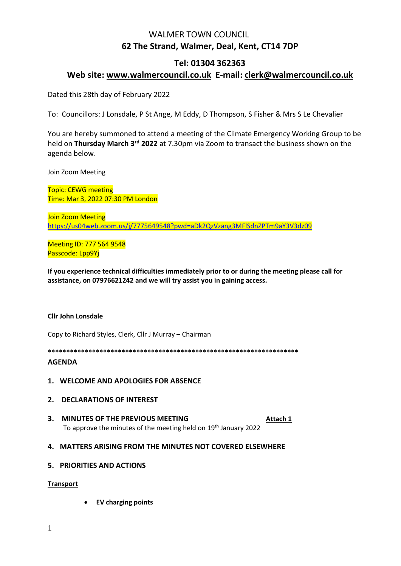# WALMER TOWN COUNCIL **62 The Strand, Walmer, Deal, Kent, CT14 7DP**

# **Tel: 01304 362363 Web site: [www.walmercouncil.co.uk](http://www.walmercouncil.co.uk/) E-mail: clerk@walmercouncil.co.uk**

Dated this 28th day of February 2022

To: Councillors: J Lonsdale, P St Ange, M Eddy, D Thompson, S Fisher & Mrs S Le Chevalier

You are hereby summoned to attend a meeting of the Climate Emergency Working Group to be held on **Thursday March 3rd 2022** at 7.30pm via Zoom to transact the business shown on the agenda below.

Join Zoom Meeting

Topic: CEWG meeting Time: Mar 3, 2022 07:30 PM London

Join Zoom Meeting <https://us04web.zoom.us/j/7775649548?pwd=aDk2QzVzang3MFlSdnZPTm9aY3V3dz09>

Meeting ID: 777 564 9548 Passcode: Lpp9Yj

**If you experience technical difficulties immediately prior to or during the meeting please call for assistance, on 07976621242 and we will try assist you in gaining access.**

## **Cllr John Lonsdale**

Copy to Richard Styles, Clerk, Cllr J Murray – Chairman

**\*\*\*\*\*\*\*\*\*\*\*\*\*\*\*\*\*\*\*\*\*\*\*\*\*\*\*\*\*\*\*\*\*\*\*\*\*\*\*\*\*\*\*\*\*\*\*\*\*\*\*\*\*\*\*\*\*\*\*\*\*\*\*\*\*\*\*\***

## **AGENDA**

**1. WELCOME AND APOLOGIES FOR ABSENCE**

## **2. DECLARATIONS OF INTEREST**

**3. MINUTES OF THE PREVIOUS MEETING [Attach 1](https://walmerpc.sharepoint.com/Shared%20Documents/Shared/Climate%20Emergency%20Working%20Group/Minutes/CEWG%2023%20June%202020%20Minutes.docx)** To approve the minutes of the meeting held on 19th January 2022

## **4. MATTERS ARISING FROM THE MINUTES NOT COVERED ELSEWHERE**

## **5. PRIORITIES AND ACTIONS**

#### **Transport**

• **EV charging points**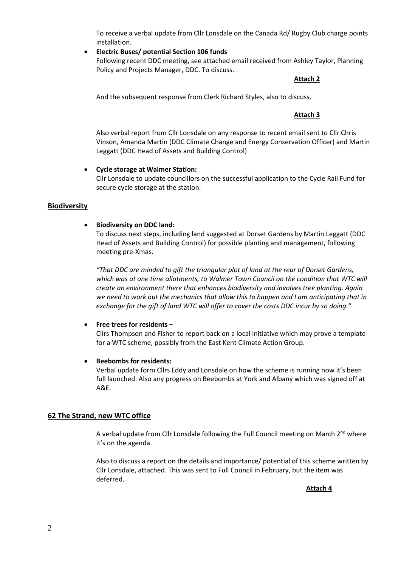To receive a verbal update from Cllr Lonsdale on the Canada Rd/ Rugby Club charge points installation.

#### • **Electric Buses/ potential Section 106 funds**

Following recent DDC meeting, see attached email received from Ashley Taylor, Planning Policy and Projects Manager, DDC. To discuss.

#### **Attach 2**

And the subsequent response from Clerk Richard Styles, also to discuss.

#### **Attach 3**

Also verbal report from Cllr Lonsdale on any response to recent email sent to Cllr Chris Vinson, Amanda Martin (DDC Climate Change and Energy Conservation Officer) and Martin Leggatt (DDC Head of Assets and Building Control)

### • **Cycle storage at Walmer Station:**

Cllr Lonsdale to update councillors on the successful application to the Cycle Rail Fund for secure cycle storage at the station.

### **Biodiversity**

## • **Biodiversity on DDC land:**

To discuss next steps, including land suggested at Dorset Gardens by Martin Leggatt (DDC Head of Assets and Building Control) for possible planting and management, following meeting pre-Xmas.

*"That DDC are minded to gift the triangular plot of land at the rear of Dorset Gardens, which was at one time allotments, to Walmer Town Council on the condition that WTC will create an environment there that enhances biodiversity and involves tree planting. Again we need to work out the mechanics that allow this to happen and I am anticipating that in exchange for the gift of land WTC will offer to cover the costs DDC incur by so doing."*

#### • **Free trees for residents –**

Cllrs Thompson and Fisher to report back on a local initiative which may prove a template for a WTC scheme, possibly from the East Kent Climate Action Group.

#### • **Beebombs for residents:**

Verbal update form Cllrs Eddy and Lonsdale on how the scheme is running now it's been full launched. Also any progress on Beebombs at York and Albany which was signed off at A&E.

## **62 The Strand, new WTC office**

A verbal update from Cllr Lonsdale following the Full Council meeting on March 2<sup>nd</sup> where it's on the agenda.

Also to discuss a report on the details and importance/ potential of this scheme written by Cllr Lonsdale, attached. This was sent to Full Council in February, but the item was deferred.

**Attach 4**